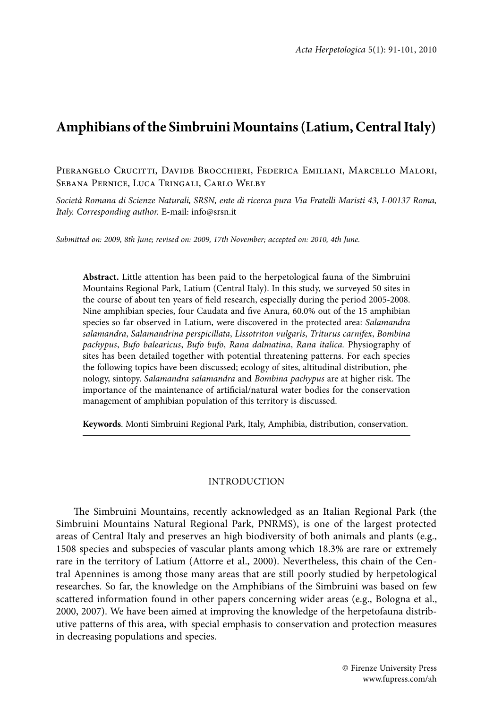# **Amphibians of the Simbruini Mountains (Latium, Central Italy)**

Pierangelo Crucitti, Davide Brocchieri, Federica Emiliani, Marcello Malori, Sebana Pernice, Luca Tringali, Carlo Welby

*Società Romana di Scienze Naturali, SRSN, ente di ricerca pura Via Fratelli Maristi 43, I-00137 Roma, Italy. Corresponding author.* E-mail: info@srsn.it

*Submitted on: 2009, 8th June; revised on: 2009, 17th November; accepted on: 2010, 4th June.*

**Abstract.** Little attention has been paid to the herpetological fauna of the Simbruini Mountains Regional Park, Latium (Central Italy). In this study, we surveyed 50 sites in the course of about ten years of field research, especially during the period 2005-2008. Nine amphibian species, four Caudata and five Anura, 60.0% out of the 15 amphibian species so far observed in Latium, were discovered in the protected area: *Salamandra salamandra*, *Salamandrina perspicillata*, *Lissotriton vulgaris*, *Triturus carnifex*, *Bombina pachypus*, *Bufo balearicus*, *Bufo bufo*, *Rana dalmatina*, *Rana italica.* Physiography of sites has been detailed together with potential threatening patterns. For each species the following topics have been discussed; ecology of sites, altitudinal distribution, phenology, sintopy. *Salamandra salamandra* and *Bombina pachypus* are at higher risk. The importance of the maintenance of artificial/natural water bodies for the conservation management of amphibian population of this territory is discussed.

**Keywords**. Monti Simbruini Regional Park, Italy, Amphibia, distribution, conservation.

#### INTRODUCTION

The Simbruini Mountains, recently acknowledged as an Italian Regional Park (the Simbruini Mountains Natural Regional Park, PNRMS), is one of the largest protected areas of Central Italy and preserves an high biodiversity of both animals and plants (e.g., 1508 species and subspecies of vascular plants among which 18.3% are rare or extremely rare in the territory of Latium (Attorre et al., 2000). Nevertheless, this chain of the Central Apennines is among those many areas that are still poorly studied by herpetological researches. So far, the knowledge on the Amphibians of the Simbruini was based on few scattered information found in other papers concerning wider areas (e.g., Bologna et al., 2000, 2007). We have been aimed at improving the knowledge of the herpetofauna distributive patterns of this area, with special emphasis to conservation and protection measures in decreasing populations and species.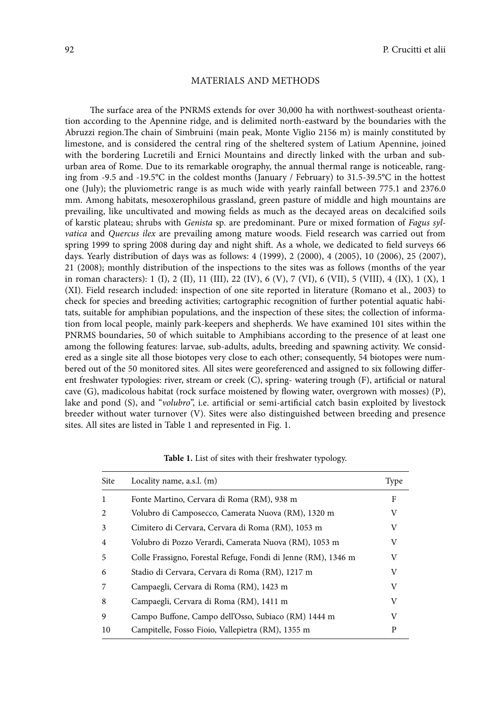#### MATERIALS AND METHODS

The surface area of the PNRMS extends for over 30,000 ha with northwest-southeast orientation according to the Apennine ridge, and is delimited north-eastward by the boundaries with the Abruzzi region.The chain of Simbruini (main peak, Monte Viglio 2156 m) is mainly constituted by limestone, and is considered the central ring of the sheltered system of Latium Apennine, joined with the bordering Lucretili and Ernici Mountains and directly linked with the urban and suburban area of Rome. Due to its remarkable orography, the annual thermal range is noticeable, ranging from -9.5 and -19.5°C in the coldest months (January / February) to 31.5-39.5°C in the hottest one (July); the pluviometric range is as much wide with yearly rainfall between 775.1 and 2376.0 mm. Among habitats, mesoxerophilous grassland, green pasture of middle and high mountains are prevailing, like uncultivated and mowing fields as much as the decayed areas on decalcified soils of karstic plateau; shrubs with *Genista* sp. are predominant. Pure or mixed formation of *Fagus sylvatica* and *Quercus ilex* are prevailing among mature woods. Field research was carried out from spring 1999 to spring 2008 during day and night shift. As a whole, we dedicated to field surveys 66 days. Yearly distribution of days was as follows: 4 (1999), 2 (2000), 4 (2005), 10 (2006), 25 (2007), 21 (2008); monthly distribution of the inspections to the sites was as follows (months of the year in roman characters): 1 (I), 2 (II), 11 (III), 22 (IV), 6 (V), 7 (VI), 6 (VII), 5 (VIII), 4 (IX), 1 (X), 1 (XI). Field research included: inspection of one site reported in literature (Romano et al., 2003) to check for species and breeding activities; cartographic recognition of further potential aquatic habitats, suitable for amphibian populations, and the inspection of these sites; the collection of information from local people, mainly park-keepers and shepherds. We have examined 101 sites within the PNRMS boundaries, 50 of which suitable to Amphibians according to the presence of at least one among the following features: larvae, sub-adults, adults, breeding and spawning activity. We considered as a single site all those biotopes very close to each other; consequently, 54 biotopes were numbered out of the 50 monitored sites. All sites were georeferenced and assigned to six following different freshwater typologies: river, stream or creek (C), spring- watering trough (F), artificial or natural cave (G), madicolous habitat (rock surface moistened by flowing water, overgrown with mosses) (P), lake and pond (S), and "*volubro*", i.e. artificial or semi-artificial catch basin exploited by livestock breeder without water turnover (V). Sites were also distinguished between breeding and presence sites. All sites are listed in Table 1 and represented in Fig. 1.

| <b>Site</b>    | Locality name, a.s.l. (m)                                     | Type |
|----------------|---------------------------------------------------------------|------|
| 1              | Fonte Martino, Cervara di Roma (RM), 938 m                    | F    |
| $\mathfrak{D}$ | Volubro di Camposecco, Camerata Nuova (RM), 1320 m            | V    |
| 3              | Cimitero di Cervara, Cervara di Roma (RM), 1053 m             | V    |
| 4              | Volubro di Pozzo Verardi, Camerata Nuova (RM), 1053 m         | V    |
| 5              | Colle Frassigno, Forestal Refuge, Fondi di Jenne (RM), 1346 m | V    |
| 6              | Stadio di Cervara, Cervara di Roma (RM), 1217 m               | V    |
| 7              | Campaegli, Cervara di Roma (RM), 1423 m                       | V    |
| 8              | Campaegli, Cervara di Roma (RM), 1411 m                       | V    |
| 9              | Campo Buffone, Campo dell'Osso, Subiaco (RM) 1444 m           | V    |
| 10             | Campitelle, Fosso Fioio, Vallepietra (RM), 1355 m             | P    |

**Table 1.** List of sites with their freshwater typology.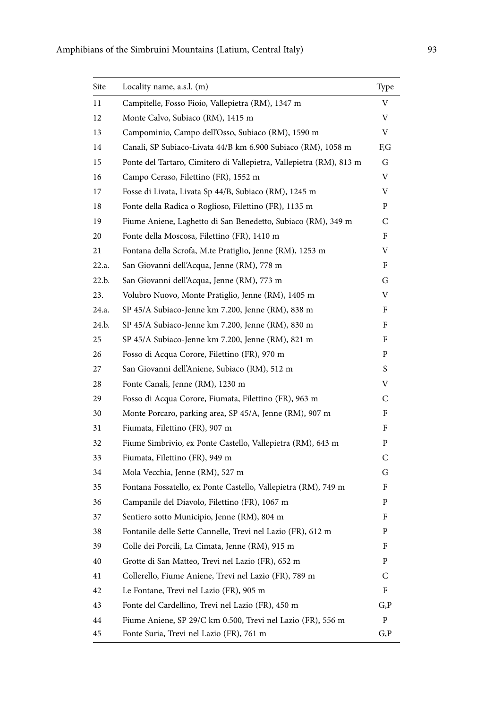| Site  | Locality name, a.s.l. (m)                                           | Type |
|-------|---------------------------------------------------------------------|------|
| 11    | Campitelle, Fosso Fioio, Vallepietra (RM), 1347 m                   | V    |
| 12    | Monte Calvo, Subiaco (RM), 1415 m                                   | V    |
| 13    | Campominio, Campo dell'Osso, Subiaco (RM), 1590 m                   | V    |
| 14    | Canali, SP Subiaco-Livata 44/B km 6.900 Subiaco (RM), 1058 m        | F,G  |
| 15    | Ponte del Tartaro, Cimitero di Vallepietra, Vallepietra (RM), 813 m | G    |
| 16    | Campo Ceraso, Filettino (FR), 1552 m                                | V    |
| 17    | Fosse di Livata, Livata Sp 44/B, Subiaco (RM), 1245 m               | V    |
| 18    | Fonte della Radica o Roglioso, Filettino (FR), 1135 m               | P    |
| 19    | Fiume Aniene, Laghetto di San Benedetto, Subiaco (RM), 349 m        | C    |
| 20    | Fonte della Moscosa, Filettino (FR), 1410 m                         | F    |
| 21    | Fontana della Scrofa, M.te Pratiglio, Jenne (RM), 1253 m            | V    |
| 22.a. | San Giovanni dell'Acqua, Jenne (RM), 778 m                          | F    |
| 22.b. | San Giovanni dell'Acqua, Jenne (RM), 773 m                          | G    |
| 23.   | Volubro Nuovo, Monte Pratiglio, Jenne (RM), 1405 m                  | V    |
| 24.a. | SP 45/A Subiaco-Jenne km 7.200, Jenne (RM), 838 m                   | F    |
| 24.h. | SP 45/A Subiaco-Jenne km 7.200, Jenne (RM), 830 m                   | F    |
| 25    | SP 45/A Subiaco-Jenne km 7.200, Jenne (RM), 821 m                   | F    |
| 26    | Fosso di Acqua Corore, Filettino (FR), 970 m                        | P    |
| 27    | San Giovanni dell'Aniene, Subiaco (RM), 512 m                       | S    |
| 28    | Fonte Canali, Jenne (RM), 1230 m                                    | V    |
| 29    | Fosso di Acqua Corore, Fiumata, Filettino (FR), 963 m               | C    |
| 30    | Monte Porcaro, parking area, SP 45/A, Jenne (RM), 907 m             | F    |
| 31    | Fiumata, Filettino (FR), 907 m                                      | F    |
| 32    | Fiume Simbrivio, ex Ponte Castello, Vallepietra (RM), 643 m         | P    |
| 33    | Fiumata, Filettino (FR), 949 m                                      | C    |
| 34    | Mola Vecchia, Jenne (RM), 527 m                                     | G    |
| 35    | Fontana Fossatello, ex Ponte Castello, Vallepietra (RM), 749 m      | F    |
| 36    | Campanile del Diavolo, Filettino (FR), 1067 m                       | P    |
| 37    | Sentiero sotto Municipio, Jenne (RM), 804 m                         | F    |
| 38    | Fontanile delle Sette Cannelle, Trevi nel Lazio (FR), 612 m         | P    |
| 39    | Colle dei Porcili, La Cimata, Jenne (RM), 915 m                     | F    |
| 40    | Grotte di San Matteo, Trevi nel Lazio (FR), 652 m                   | P    |
| 41    | Collerello, Fiume Aniene, Trevi nel Lazio (FR), 789 m               | C    |
| 42    | Le Fontane, Trevi nel Lazio (FR), 905 m                             | F    |
| 43    | Fonte del Cardellino, Trevi nel Lazio (FR), 450 m                   | G, P |
| 44    | Fiume Aniene, SP 29/C km 0.500, Trevi nel Lazio (FR), 556 m         | P    |
| 45    | Fonte Suria, Trevi nel Lazio (FR), 761 m                            | G,P  |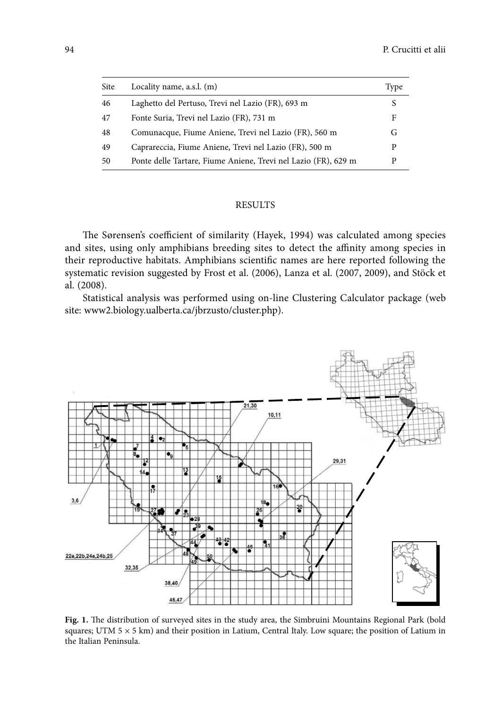| Site | Locality name, $a.s.l.$ (m)                                    | Type |
|------|----------------------------------------------------------------|------|
| 46   | Laghetto del Pertuso, Trevi nel Lazio (FR), 693 m              | S    |
| 47   | Fonte Suria, Trevi nel Lazio (FR), 731 m                       | F    |
| 48   | Comunacque, Fiume Aniene, Trevi nel Lazio (FR), 560 m          | G    |
| 49   | Caprareccia, Fiume Aniene, Trevi nel Lazio (FR), 500 m         | D    |
| 50   | Ponte delle Tartare, Fiume Aniene, Trevi nel Lazio (FR), 629 m | D    |

## RESULTS

The Sørensen's coefficient of similarity (Hayek, 1994) was calculated among species and sites, using only amphibians breeding sites to detect the affinity among species in their reproductive habitats. Amphibians scientific names are here reported following the systematic revision suggested by Frost et al. (2006), Lanza et al. (2007, 2009), and Stöck et al. (2008).

Statistical analysis was performed using on-line Clustering Calculator package (web site: www2.biology.ualberta.ca/jbrzusto/cluster.php).



**Fig. 1.** The distribution of surveyed sites in the study area, the Simbruini Mountains Regional Park (bold squares; UTM  $5 \times 5$  km) and their position in Latium, Central Italy. Low square; the position of Latium in the Italian Peninsula.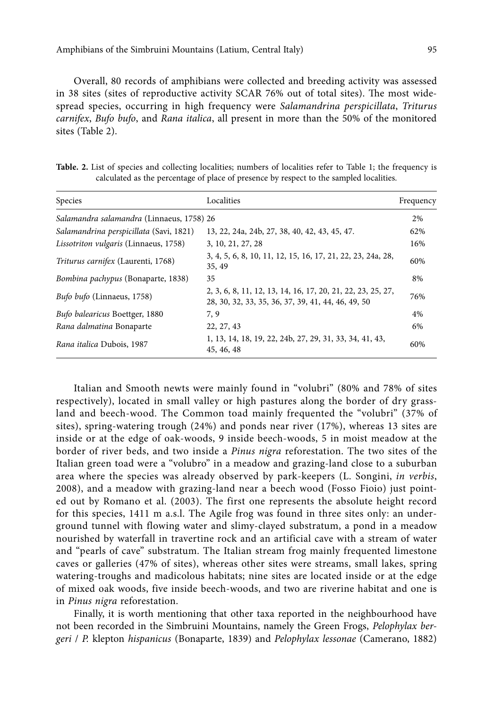Overall, 80 records of amphibians were collected and breeding activity was assessed in 38 sites (sites of reproductive activity SCAR 76% out of total sites). The most widespread species, occurring in high frequency were *Salamandrina perspicillata*, *Triturus carnifex*, *Bufo bufo*, and *Rana italica*, all present in more than the 50% of the monitored sites (Table 2).

Table. 2. List of species and collecting localities; numbers of localities refer to Table 1; the frequency is calculated as the percentage of place of presence by respect to the sampled localities.

| Species                                      | Localities                                                                                                        | Frequency |
|----------------------------------------------|-------------------------------------------------------------------------------------------------------------------|-----------|
| Salamandra salamandra (Linnaeus, 1758) 26    |                                                                                                                   | 2%        |
| Salamandrina perspicillata (Savi, 1821)      | 13, 22, 24a, 24b, 27, 38, 40, 42, 43, 45, 47.                                                                     | 62%       |
| <i>Lissotriton vulgaris</i> (Linnaeus, 1758) | 3, 10, 21, 27, 28                                                                                                 | 16%       |
| <i>Triturus carnifex</i> (Laurenti, 1768)    | 3, 4, 5, 6, 8, 10, 11, 12, 15, 16, 17, 21, 22, 23, 24a, 28,<br>35, 49                                             | 60%       |
| Bombina pachypus (Bonaparte, 1838)           | 35                                                                                                                | 8%        |
| <i>Bufo bufo</i> (Linnaeus, 1758)            | 2, 3, 6, 8, 11, 12, 13, 14, 16, 17, 20, 21, 22, 23, 25, 27,<br>28, 30, 32, 33, 35, 36, 37, 39, 41, 44, 46, 49, 50 | 76%       |
| Bufo balearicus Boettger, 1880               | 7.9                                                                                                               | 4%        |
| Rana dalmatina Bonaparte                     | 22, 27, 43                                                                                                        | 6%        |
| Rana italica Dubois, 1987                    | 1, 13, 14, 18, 19, 22, 24b, 27, 29, 31, 33, 34, 41, 43,<br>45, 46, 48                                             | 60%       |

Italian and Smooth newts were mainly found in "volubri" (80% and 78% of sites respectively), located in small valley or high pastures along the border of dry grassland and beech-wood. The Common toad mainly frequented the "volubri" (37% of sites), spring-watering trough (24%) and ponds near river (17%), whereas 13 sites are inside or at the edge of oak-woods, 9 inside beech-woods, 5 in moist meadow at the border of river beds, and two inside a *Pinus nigra* reforestation. The two sites of the Italian green toad were a "volubro" in a meadow and grazing-land close to a suburban area where the species was already observed by park-keepers (L. Songini, *in verbis*, 2008), and a meadow with grazing-land near a beech wood (Fosso Fioio) just pointed out by Romano et al. (2003). The first one represents the absolute height record for this species, 1411 m a.s.l. The Agile frog was found in three sites only: an underground tunnel with flowing water and slimy-clayed substratum, a pond in a meadow nourished by waterfall in travertine rock and an artificial cave with a stream of water and "pearls of cave" substratum. The Italian stream frog mainly frequented limestone caves or galleries (47% of sites), whereas other sites were streams, small lakes, spring watering-troughs and madicolous habitats; nine sites are located inside or at the edge of mixed oak woods, five inside beech-woods, and two are riverine habitat and one is in *Pinus nigra* reforestation.

Finally, it is worth mentioning that other taxa reported in the neighbourhood have not been recorded in the Simbruini Mountains, namely the Green Frogs, *Pelophylax bergeri* / *P.* klepton *hispanicus* (Bonaparte, 1839) and *Pelophylax lessonae* (Camerano, 1882)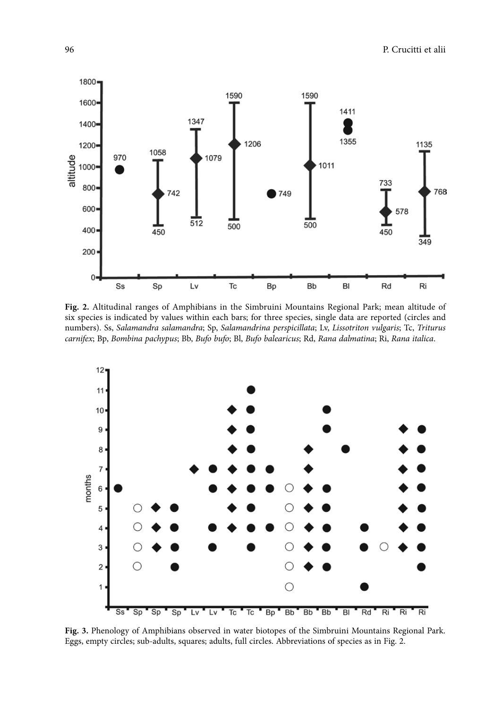

**Fig. 2.** Altitudinal ranges of Amphibians in the Simbruini Mountains Regional Park; mean altitude of six species is indicated by values within each bars; for three species, single data are reported (circles and numbers). Ss, *Salamandra salamandra*; Sp, *Salamandrina perspicillata*; Lv, *Lissotriton vulgaris*; Tc, *Triturus carnifex*; Bp, *Bombina pachypus*; Bb, *Bufo bufo*; Bl, *Bufo balearicus*; Rd, *Rana dalmatina*; Ri, *Rana italica*.



**Fig. 3.** Phenology of Amphibians observed in water biotopes of the Simbruini Mountains Regional Park. Eggs, empty circles; sub-adults, squares; adults, full circles. Abbreviations of species as in Fig. 2.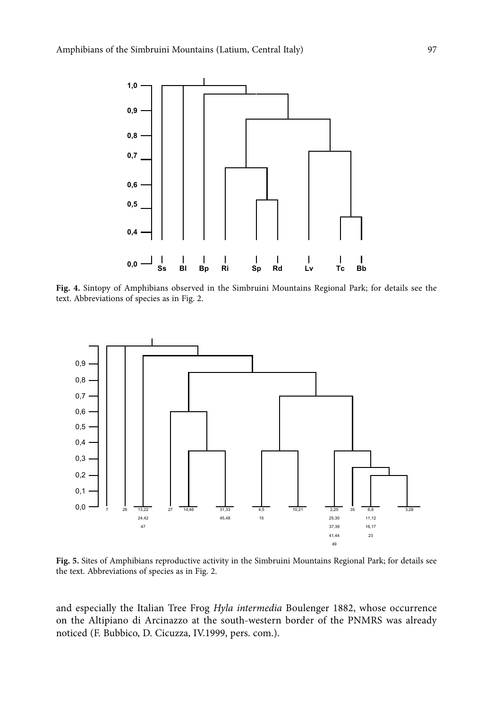

**Fig. 4.** Sintopy of Amphibians observed in the Simbruini Mountains Regional Park; for details see the text. Abbreviations of species as in Fig. 2.



**Fig. 5.** Sites of Amphibians reproductive activity in the Simbruini Mountains Regional Park; for details see the text. Abbreviations of species as in Fig. 2.

and especially the Italian Tree Frog *Hyla intermedia* Boulenger 1882, whose occurrence on the Altipiano di Arcinazzo at the south-western border of the PNMRS was already noticed (F. Bubbico, D. Cicuzza, IV.1999, pers. com.).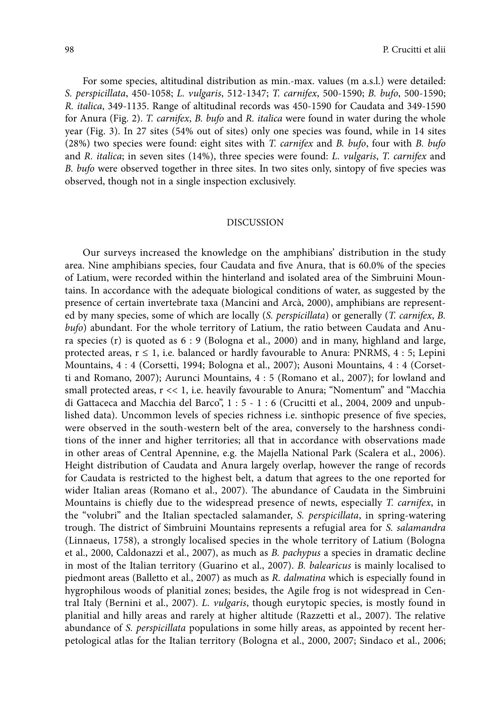For some species, altitudinal distribution as min.-max. values (m a.s.l.) were detailed: *S. perspicillata*, 450-1058; *L. vulgaris*, 512-1347; *T. carnifex*, 500-1590; *B. bufo*, 500-1590; *R. italica*, 349-1135. Range of altitudinal records was 450-1590 for Caudata and 349-1590 for Anura (Fig. 2). *T. carnifex*, *B. bufo* and *R. italica* were found in water during the whole year (Fig. 3). In 27 sites (54% out of sites) only one species was found, while in 14 sites (28%) two species were found: eight sites with *T. carnifex* and *B. bufo*, four with *B. bufo*  and *R. italica*; in seven sites (14%), three species were found: *L. vulgaris*, *T. carnifex* and *B. bufo* were observed together in three sites. In two sites only, sintopy of five species was observed, though not in a single inspection exclusively.

## DISCUSSION

Our surveys increased the knowledge on the amphibians' distribution in the study area. Nine amphibians species, four Caudata and five Anura, that is 60.0% of the species of Latium, were recorded within the hinterland and isolated area of the Simbruini Mountains. In accordance with the adequate biological conditions of water, as suggested by the presence of certain invertebrate taxa (Mancini and Arcà, 2000), amphibians are represented by many species, some of which are locally (*S. perspicillata*) or generally (*T. carnifex*, *B. bufo*) abundant. For the whole territory of Latium, the ratio between Caudata and Anura species (r) is quoted as 6 : 9 (Bologna et al., 2000) and in many, highland and large, protected areas,  $r \le 1$ , i.e. balanced or hardly favourable to Anura: PNRMS, 4 : 5; Lepini Mountains, 4 : 4 (Corsetti, 1994; Bologna et al., 2007); Ausoni Mountains, 4 : 4 (Corsetti and Romano, 2007); Aurunci Mountains, 4 : 5 (Romano et al., 2007); for lowland and small protected areas, r << 1, i.e. heavily favourable to Anura; "Nomentum" and "Macchia di Gattaceca and Macchia del Barco", 1 : 5 - 1 : 6 (Crucitti et al., 2004, 2009 and unpublished data). Uncommon levels of species richness i.e. sinthopic presence of five species, were observed in the south-western belt of the area, conversely to the harshness conditions of the inner and higher territories; all that in accordance with observations made in other areas of Central Apennine, e.g. the Majella National Park (Scalera et al., 2006). Height distribution of Caudata and Anura largely overlap, however the range of records for Caudata is restricted to the highest belt, a datum that agrees to the one reported for wider Italian areas (Romano et al., 2007). The abundance of Caudata in the Simbruini Mountains is chiefly due to the widespread presence of newts, especially *T. carnifex*, in the "volubri" and the Italian spectacled salamander, *S. perspicillata*, in spring-watering trough. The district of Simbruini Mountains represents a refugial area for *S. salamandra* (Linnaeus, 1758), a strongly localised species in the whole territory of Latium (Bologna et al., 2000, Caldonazzi et al., 2007), as much as *B. pachypus* a species in dramatic decline in most of the Italian territory (Guarino et al., 2007). *B. balearicus* is mainly localised to piedmont areas (Balletto et al., 2007) as much as *R. dalmatina* which is especially found in hygrophilous woods of planitial zones; besides, the Agile frog is not widespread in Central Italy (Bernini et al., 2007). *L. vulgaris*, though eurytopic species, is mostly found in planitial and hilly areas and rarely at higher altitude (Razzetti et al., 2007). The relative abundance of *S. perspicillata* populations in some hilly areas, as appointed by recent herpetological atlas for the Italian territory (Bologna et al., 2000, 2007; Sindaco et al., 2006;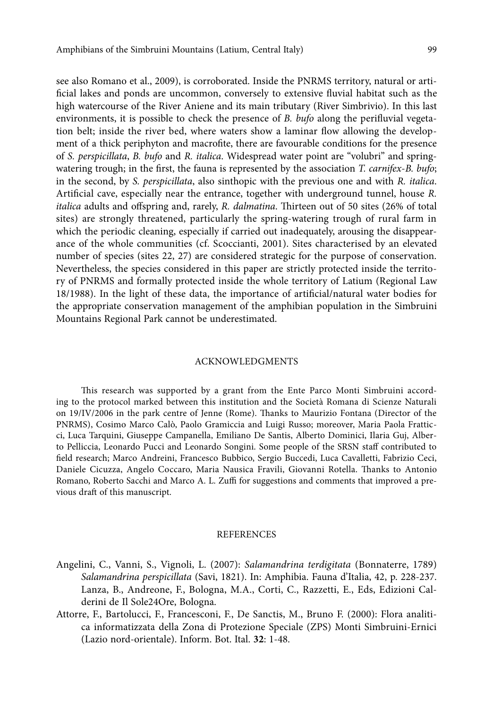see also Romano et al., 2009), is corroborated. Inside the PNRMS territory, natural or artificial lakes and ponds are uncommon, conversely to extensive fluvial habitat such as the high watercourse of the River Aniene and its main tributary (River Simbrivio). In this last environments, it is possible to check the presence of *B. bufo* along the perifluvial vegetation belt; inside the river bed, where waters show a laminar flow allowing the development of a thick periphyton and macrofite, there are favourable conditions for the presence of *S. perspicillata*, *B. bufo* and *R. italica*. Widespread water point are "volubri" and springwatering trough; in the first, the fauna is represented by the association *T. carnifex*-*B. bufo*; in the second, by *S. perspicillata*, also sinthopic with the previous one and with *R. italica*. Artificial cave, especially near the entrance, together with underground tunnel, house *R. italica* adults and offspring and, rarely, *R. dalmatina*. Thirteen out of 50 sites (26% of total sites) are strongly threatened, particularly the spring-watering trough of rural farm in which the periodic cleaning, especially if carried out inadequately, arousing the disappearance of the whole communities (cf. Scoccianti, 2001). Sites characterised by an elevated number of species (sites 22, 27) are considered strategic for the purpose of conservation. Nevertheless, the species considered in this paper are strictly protected inside the territory of PNRMS and formally protected inside the whole territory of Latium (Regional Law 18/1988). In the light of these data, the importance of artificial/natural water bodies for the appropriate conservation management of the amphibian population in the Simbruini Mountains Regional Park cannot be underestimated.

## ACKNOWLEDGMENTS

This research was supported by a grant from the Ente Parco Monti Simbruini according to the protocol marked between this institution and the Società Romana di Scienze Naturali on 19/IV/2006 in the park centre of Jenne (Rome). Thanks to Maurizio Fontana (Director of the PNRMS), Cosimo Marco Calò, Paolo Gramiccia and Luigi Russo; moreover, Maria Paola Fratticci, Luca Tarquini, Giuseppe Campanella, Emiliano De Santis, Alberto Dominici, Ilaria Guj, Alberto Pelliccia, Leonardo Pucci and Leonardo Songini. Some people of the SRSN staff contributed to field research; Marco Andreini, Francesco Bubbico, Sergio Buccedi, Luca Cavalletti, Fabrizio Ceci, Daniele Cicuzza, Angelo Coccaro, Maria Nausica Fravili, Giovanni Rotella. Thanks to Antonio Romano, Roberto Sacchi and Marco A. L. Zuffi for suggestions and comments that improved a previous draft of this manuscript.

## **REFERENCES**

- Angelini, C., Vanni, S., Vignoli, L. (2007): *Salamandrina terdigitata* (Bonnaterre, 1789) *Salamandrina perspicillata* (Savi, 1821). In: Amphibia. Fauna d'Italia, 42, p. 228-237. Lanza, B., Andreone, F., Bologna, M.A., Corti, C., Razzetti, E., Eds, Edizioni Calderini de Il Sole24Ore, Bologna.
- Attorre, F., Bartolucci, F., Francesconi, F., De Sanctis, M., Bruno F. (2000): Flora analitica informatizzata della Zona di Protezione Speciale (ZPS) Monti Simbruini-Ernici (Lazio nord-orientale). Inform. Bot. Ital. **32**: 1-48.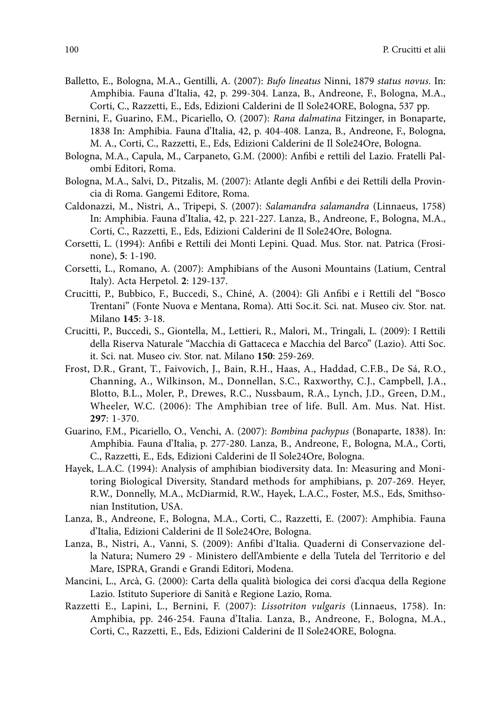- Balletto, E., Bologna, M.A., Gentilli, A. (2007): *Bufo lineatus* Ninni, 1879 *status novus*. In: Amphibia. Fauna d'Italia, 42, p. 299-304. Lanza, B., Andreone, F., Bologna, M.A., Corti, C., Razzetti, E., Eds, Edizioni Calderini de Il Sole24ORE, Bologna, 537 pp.
- Bernini, F., Guarino, F.M., Picariello, O. (2007): *Rana dalmatina* Fitzinger, in Bonaparte, 1838 In: Amphibia. Fauna d'Italia, 42, p. 404-408. Lanza, B., Andreone, F., Bologna, M. A., Corti, C., Razzetti, E., Eds, Edizioni Calderini de Il Sole24Ore, Bologna.
- Bologna, M.A., Capula, M., Carpaneto, G.M. (2000): Anfibi e rettili del Lazio. Fratelli Palombi Editori, Roma.
- Bologna, M.A., Salvi, D., Pitzalis, M. (2007): Atlante degli Anfibi e dei Rettili della Provincia di Roma. Gangemi Editore, Roma.
- Caldonazzi, M., Nistri, A., Tripepi, S. (2007): *Salamandra salamandra* (Linnaeus, 1758) In: Amphibia. Fauna d'Italia, 42, p. 221-227. Lanza, B., Andreone, F., Bologna, M.A., Corti, C., Razzetti, E., Eds, Edizioni Calderini de Il Sole24Ore, Bologna.
- Corsetti, L. (1994): Anfibi e Rettili dei Monti Lepini. Quad. Mus. Stor. nat. Patrica (Frosinone), **5**: 1-190.
- Corsetti, L., Romano, A. (2007): Amphibians of the Ausoni Mountains (Latium, Central Italy). Acta Herpetol. **2**: 129-137.
- Crucitti, P., Bubbico, F., Buccedi, S., Chiné, A. (2004): Gli Anfibi e i Rettili del "Bosco Trentani" (Fonte Nuova e Mentana, Roma). Atti Soc.it. Sci. nat. Museo civ. Stor. nat. Milano **145**: 3-18.
- Crucitti, P., Buccedi, S., Giontella, M., Lettieri, R., Malori, M., Tringali, L. (2009): I Rettili della Riserva Naturale "Macchia di Gattaceca e Macchia del Barco" (Lazio). Atti Soc. it. Sci. nat. Museo civ. Stor. nat. Milano **150**: 259-269.
- Frost, D.R., Grant, T., Faivovich, J., Bain, R.H., Haas, A., Haddad, C.F.B., De Sá, R.O., Channing, A., Wilkinson, M., Donnellan, S.C., Raxworthy, C.J., Campbell, J.A., Blotto, B.L., Moler, P., Drewes, R.C., Nussbaum, R.A., Lynch, J.D., Green, D.M., Wheeler, W.C. (2006): The Amphibian tree of life. Bull. Am. Mus. Nat. Hist. **297**: 1-370.
- Guarino, F.M., Picariello, O., Venchi, A. (2007): *Bombina pachypus* (Bonaparte, 1838). In: Amphibia. Fauna d'Italia, p. 277-280. Lanza, B., Andreone, F., Bologna, M.A., Corti, C., Razzetti, E., Eds, Edizioni Calderini de Il Sole24Ore, Bologna.
- Hayek, L.A.C. (1994): Analysis of amphibian biodiversity data. In: Measuring and Monitoring Biological Diversity, Standard methods for amphibians, p. 207-269. Heyer, R.W., Donnelly, M.A., McDiarmid, R.W., Hayek, L.A.C., Foster, M.S., Eds, Smithsonian Institution, USA.
- Lanza, B., Andreone, F., Bologna, M.A., Corti, C., Razzetti, E. (2007): Amphibia. Fauna d'Italia, Edizioni Calderini de Il Sole24Ore, Bologna.
- Lanza, B., Nistri, A., Vanni, S. (2009): Anfibi d'Italia. Quaderni di Conservazione della Natura; Numero 29 - Ministero dell'Ambiente e della Tutela del Territorio e del Mare, ISPRA, Grandi e Grandi Editori, Modena.
- Mancini, L., Arcà, G. (2000): Carta della qualità biologica dei corsi d'acqua della Regione Lazio. Istituto Superiore di Sanità e Regione Lazio, Roma.
- Razzetti E., Lapini, L., Bernini, F. (2007): *Lissotriton vulgaris* (Linnaeus, 1758). In: Amphibia, pp. 246-254. Fauna d'Italia. Lanza, B., Andreone, F., Bologna, M.A., Corti, C., Razzetti, E., Eds, Edizioni Calderini de Il Sole24ORE, Bologna.